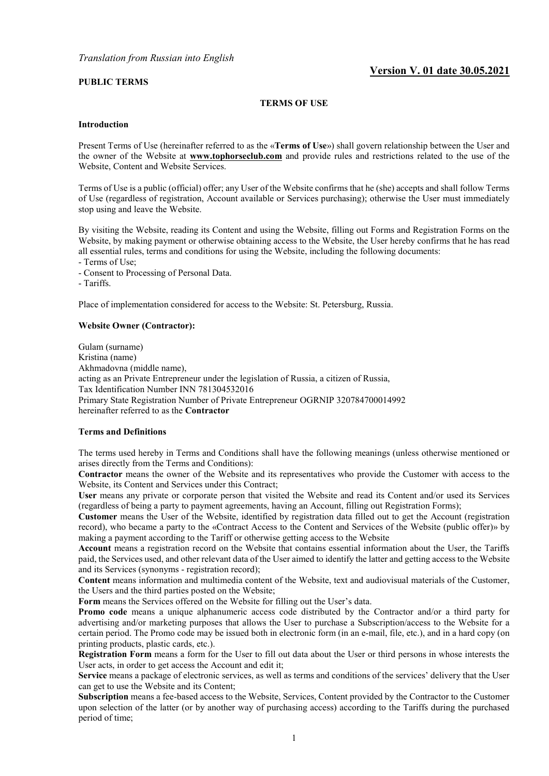# **Version V. 01 date 30.05.2021**

# **PUBLIC TERMS**

# **TERMS OF USE**

### **Introduction**

Present Terms of Use (hereinafter referred to as the «**Terms of Use**») shall govern relationship between the User and the owner of the Website at **www.tophorseclub.com** and provide rules and restrictions related to the use of the Website, Content and Website Services.

Terms of Use is a public (official) offer; any User of the Website confirms that he (she) accepts and shall follow Terms of Use (regardless of registration, Account available or Services purchasing); otherwise the User must immediately stop using and leave the Website.

By visiting the Website, reading its Content and using the Website, filling out Forms and Registration Forms on the Website, by making payment or otherwise obtaining access to the Website, the User hereby confirms that he has read all essential rules, terms and conditions for using the Website, including the following documents:

- Terms of Use;

- Consent to Processing of Personal Data.

- Tariffs.

Place of implementation considered for access to the Website: St. Petersburg, Russia.

### **Website Owner (Contractor):**

Gulam (surname) Kristina (name) Akhmadovna (middle name), acting as an Private Entrepreneur under the legislation of Russia, a citizen of Russia, Tax Identification Number INN 781304532016 Primary State Registration Number of Private Entrepreneur OGRNIP 320784700014992 hereinafter referred to as the **Contractor**

#### **Terms and Definitions**

The terms used hereby in Terms and Conditions shall have the following meanings (unless otherwise mentioned or arises directly from the Terms and Conditions):

**Contractor** means the owner of the Website and its representatives who provide the Customer with access to the Website, its Content and Services under this Contract;

**User** means any private or corporate person that visited the Website and read its Content and/or used its Services (regardless of being a party to payment agreements, having an Account, filling out Registration Forms);

**Customer** means the User of the Website, identified by registration data filled out to get the Account (registration record), who became a party to the «Contract Access to the Content and Services of the Website (public offer)» by making a payment according to the Tariff or otherwise getting access to the Website

**Account** means a registration record on the Website that contains essential information about the User, the Tariffs paid, the Services used, and other relevant data of the User aimed to identify the latter and getting access to the Website and its Services (synonyms - registration record);

**Content** means information and multimedia content of the Website, text and audiovisual materials of the Customer, the Users and the third parties posted on the Website;

**Form** means the Services offered on the Website for filling out the User's data.

**Promo code** means a unique alphanumeric access code distributed by the Contractor and/or a third party for advertising and/or marketing purposes that allows the User to purchase a Subscription/access to the Website for a certain period. The Promo code may be issued both in electronic form (in an e-mail, file, etc.), and in a hard copy (on printing products, plastic cards, etc.).

**Registration Form** means a form for the User to fill out data about the User or third persons in whose interests the User acts, in order to get access the Account and edit it:

**Service** means a package of electronic services, as well as terms and conditions of the services' delivery that the User can get to use the Website and its Content;

**Subscription** means a fee-based access to the Website, Services, Content provided by the Contractor to the Customer upon selection of the latter (or by another way of purchasing access) according to the Tariffs during the purchased period of time;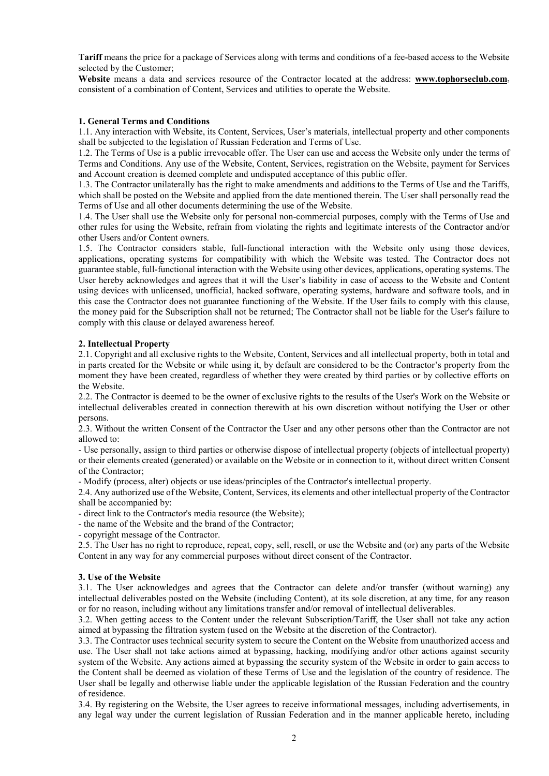**Tariff** means the price for a package of Services along with terms and conditions of a fee-based access to the Website selected by the Customer;

**Website** means a data and services resource of the Contractor located at the address: **[www.tophorseclub.com](http://www.tophorseclub.com/)**, consistent of a combination of Content, Services and utilities to operate the Website.

### **1. General Terms and Conditions**

1.1. Any interaction with Website, its Content, Services, User's materials, intellectual property and other components shall be subjected to the legislation of Russian Federation and Terms of Use.

1.2. The Terms of Use is a public irrevocable offer. The User can use and access the Website only under the terms of Terms and Conditions. Any use of the Website, Content, Services, registration on the Website, payment for Services and Account creation is deemed complete and undisputed acceptance of this public offer.

1.3. The Contractor unilaterally has the right to make amendments and additions to the Terms of Use and the Tariffs, which shall be posted on the Website and applied from the date mentioned therein. The User shall personally read the Terms of Use and all other documents determining the use of the Website.

1.4. The User shall use the Website only for personal non-commercial purposes, comply with the Terms of Use and other rules for using the Website, refrain from violating the rights and legitimate interests of the Contractor and/or other Users and/or Content owners.

1.5. The Contractor considers stable, full-functional interaction with the Website only using those devices, applications, operating systems for compatibility with which the Website was tested. The Contractor does not guarantee stable, full-functional interaction with the Website using other devices, applications, operating systems. The User hereby acknowledges and agrees that it will the User's liability in case of access to the Website and Content using devices with unlicensed, unofficial, hacked software, operating systems, hardware and software tools, and in this case the Contractor does not guarantee functioning of the Website. If the User fails to comply with this clause, the money paid for the Subscription shall not be returned; The Contractor shall not be liable for the User's failure to comply with this clause or delayed awareness hereof.

### **2. Intellectual Property**

2.1. Copyright and all exclusive rights to the Website, Content, Services and all intellectual property, both in total and in parts created for the Website or while using it, by default are considered to be the Contractor's property from the moment they have been created, regardless of whether they were created by third parties or by collective efforts on the Website.

2.2. The Contractor is deemed to be the owner of exclusive rights to the results of the User's Work on the Website or intellectual deliverables created in connection therewith at his own discretion without notifying the User or other persons.

2.3. Without the written Consent of the Contractor the User and any other persons other than the Contractor are not allowed to:

- Use personally, assign to third parties or otherwise dispose of intellectual property (objects of intellectual property) or their elements created (generated) or available on the Website or in connection to it, without direct written Consent of the Contractor;

- Modify (process, alter) objects or use ideas/principles of the Contractor's intellectual property.

2.4. Any authorized use of the Website, Content, Services, its elements and other intellectual property of the Contractor shall be accompanied by:

- direct link to the Contractor's media resource (the Website);

- the name of the Website and the brand of the Contractor;

- copyright message of the Contractor.

2.5. The User has no right to reproduce, repeat, copy, sell, resell, or use the Website and (or) any parts of the Website Content in any way for any commercial purposes without direct consent of the Contractor.

#### **3. Use of the Website**

3.1. The User acknowledges and agrees that the Contractor can delete and/or transfer (without warning) any intellectual deliverables posted on the Website (including Content), at its sole discretion, at any time, for any reason or for no reason, including without any limitations transfer and/or removal of intellectual deliverables.

3.2. When getting access to the Content under the relevant Subscription/Tariff, the User shall not take any action aimed at bypassing the filtration system (used on the Website at the discretion of the Contractor).

3.3. The Contractor uses technical security system to secure the Content on the Website from unauthorized access and use. The User shall not take actions aimed at bypassing, hacking, modifying and/or other actions against security system of the Website. Any actions aimed at bypassing the security system of the Website in order to gain access to the Content shall be deemed as violation of these Terms of Use and the legislation of the country of residence. The User shall be legally and otherwise liable under the applicable legislation of the Russian Federation and the country of residence.

3.4. By registering on the Website, the User agrees to receive informational messages, including advertisements, in any legal way under the current legislation of Russian Federation and in the manner applicable hereto, including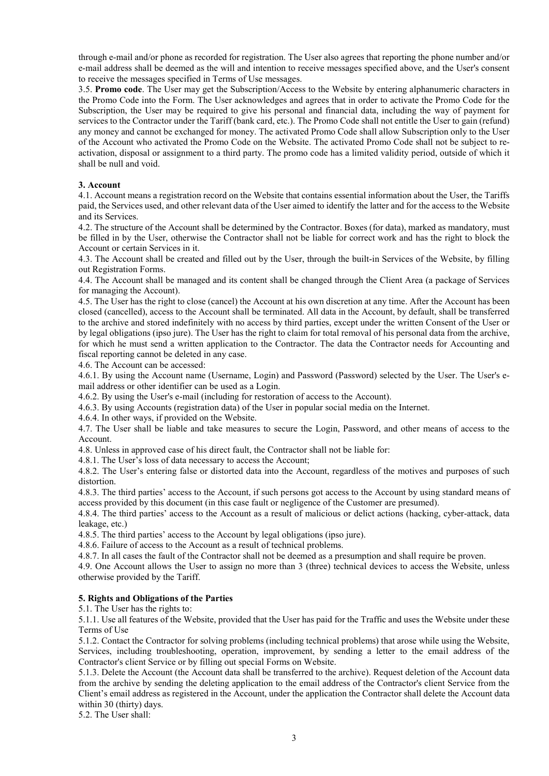through e-mail and/or phone as recorded for registration. The User also agrees that reporting the phone number and/or e-mail address shall be deemed as the will and intention to receive messages specified above, and the User's consent to receive the messages specified in Terms of Use messages.

3.5. **Promo code**. The User may get the Subscription/Access to the Website by entering alphanumeric characters in the Promo Code into the Form. The User acknowledges and agrees that in order to activate the Promo Code for the Subscription, the User may be required to give his personal and financial data, including the way of payment for services to the Contractor under the Tariff (bank card, etc.). The Promo Code shall not entitle the User to gain (refund) any money and cannot be exchanged for money. The activated Promo Code shall allow Subscription only to the User of the Account who activated the Promo Code on the Website. The activated Promo Code shall not be subject to reactivation, disposal or assignment to a third party. The promo code has a limited validity period, outside of which it shall be null and void.

# **3. Account**

4.1. Account means a registration record on the Website that contains essential information about the User, the Tariffs paid, the Services used, and other relevant data of the User aimed to identify the latter and for the access to the Website and its Services.

4.2. The structure of the Account shall be determined by the Contractor. Boxes (for data), marked as mandatory, must be filled in by the User, otherwise the Contractor shall not be liable for correct work and has the right to block the Account or certain Services in it.

4.3. The Account shall be created and filled out by the User, through the built-in Services of the Website, by filling out Registration Forms.

4.4. The Account shall be managed and its content shall be changed through the Client Area (a package of Services for managing the Account).

4.5. The User has the right to close (cancel) the Account at his own discretion at any time. After the Account has been closed (cancelled), access to the Account shall be terminated. All data in the Account, by default, shall be transferred to the archive and stored indefinitely with no access by third parties, except under the written Consent of the User or by legal obligations (ipso jure). The User has the right to claim for total removal of his personal data from the archive, for which he must send a written application to the Contractor. The data the Contractor needs for Accounting and fiscal reporting cannot be deleted in any case.

4.6. The Account can be accessed:

4.6.1. By using the Account name (Username, Login) and Password (Password) selected by the User. The User's email address or other identifier can be used as a Login.

4.6.2. By using the User's e-mail (including for restoration of access to the Account).

4.6.3. By using Accounts (registration data) of the User in popular social media on the Internet.

4.6.4. In other ways, if provided on the Website.

4.7. The User shall be liable and take measures to secure the Login, Password, and other means of access to the Account.

4.8. Unless in approved case of his direct fault, the Contractor shall not be liable for:

4.8.1. The User's loss of data necessary to access the Account;

4.8.2. The User's entering false or distorted data into the Account, regardless of the motives and purposes of such distortion.

4.8.3. The third parties' access to the Account, if such persons got access to the Account by using standard means of access provided by this document (in this case fault or negligence of the Customer are presumed).

4.8.4. The third parties' access to the Account as a result of malicious or delict actions (hacking, cyber-attack, data leakage, etc.)

4.8.5. The third parties' access to the Account by legal obligations (ipso jure).

4.8.6. Failure of access to the Account as a result of technical problems.

4.8.7. In all cases the fault of the Contractor shall not be deemed as a presumption and shall require be proven.

4.9. One Account allows the User to assign no more than 3 (three) technical devices to access the Website, unless otherwise provided by the Tariff.

# **5. Rights and Obligations of the Parties**

5.1. The User has the rights to:

5.1.1. Use all features of the Website, provided that the User has paid for the Traffic and uses the Website under these Terms of Use

5.1.2. Contact the Contractor for solving problems (including technical problems) that arose while using the Website, Services, including troubleshooting, operation, improvement, by sending a letter to the email address of the Contractor's client Service or by filling out special Forms on Website.

5.1.3. Delete the Account (the Account data shall be transferred to the archive). Request deletion of the Account data from the archive by sending the deleting application to the email address of the Contractor's client Service from the Client's email address as registered in the Account, under the application the Contractor shall delete the Account data within 30 (thirty) days.

5.2. The User shall: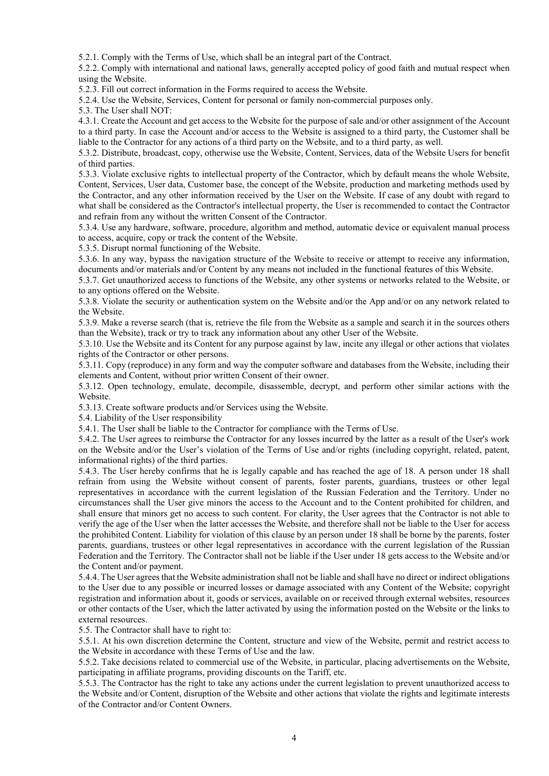5.2.1. Comply with the Terms of Use, which shall be an integral part of the Contract.

5.2.2. Comply with international and national laws, generally accepted policy of good faith and mutual respect when using the Website.

5.2.3. Fill out correct information in the Forms required to access the Website.

5.2.4. Use the Website, Services, Content for personal or family non-commercial purposes only.

5.3. The User shall NOT:

4.3.1. Create the Account and get access to the Website for the purpose of sale and/or other assignment of the Account to a third party. In case the Account and/or access to the Website is assigned to a third party, the Customer shall be liable to the Contractor for any actions of a third party on the Website, and to a third party, as well.

5.3.2. Distribute, broadcast, copy, otherwise use the Website, Content, Services, data of the Website Users for benefit of third parties.

5.3.3. Violate exclusive rights to intellectual property of the Contractor, which by default means the whole Website, Content, Services, User data, Customer base, the concept of the Website, production and marketing methods used by the Contractor, and any other information received by the User on the Website. If case of any doubt with regard to what shall be considered as the Contractor's intellectual property, the User is recommended to contact the Contractor and refrain from any without the written Consent of the Contractor.

5.3.4. Use any hardware, software, procedure, algorithm and method, automatic device or equivalent manual process to access, acquire, copy or track the content of the Website.

5.3.5. Disrupt normal functioning of the Website.

5.3.6. In any way, bypass the navigation structure of the Website to receive or attempt to receive any information, documents and/or materials and/or Content by any means not included in the functional features of this Website.

5.3.7. Get unauthorized access to functions of the Website, any other systems or networks related to the Website, or to any options offered on the Website.

5.3.8. Violate the security or authentication system on the Website and/or the App and/or on any network related to the Website.

5.3.9. Make a reverse search (that is, retrieve the file from the Website as a sample and search it in the sources others than the Website), track or try to track any information about any other User of the Website.

5.3.10. Use the Website and its Content for any purpose against by law, incite any illegal or other actions that violates rights of the Contractor or other persons.

5.3.11. Copy (reproduce) in any form and way the computer software and databases from the Website, including their elements and Content, without prior written Consent of their owner.

5.3.12. Open technology, emulate, decompile, disassemble, decrypt, and perform other similar actions with the Website.

5.3.13. Create software products and/or Services using the Website.

5.4. Liability of the User responsibility

5.4.1. The User shall be liable to the Contractor for compliance with the Terms of Use.

5.4.2. The User agrees to reimburse the Contractor for any losses incurred by the latter as a result of the User's work on the Website and/or the User's violation of the Terms of Use and/or rights (including copyright, related, patent, informational rights) of the third parties.

5.4.3. The User hereby confirms that he is legally capable and has reached the age of 18. A person under 18 shall refrain from using the Website without consent of parents, foster parents, guardians, trustees or other legal representatives in accordance with the current legislation of the Russian Federation and the Territory. Under no circumstances shall the User give minors the access to the Account and to the Content prohibited for children, and shall ensure that minors get no access to such content. For clarity, the User agrees that the Contractor is not able to verify the age of the User when the latter accesses the Website, and therefore shall not be liable to the User for access the prohibited Content. Liability for violation of this clause by an person under 18 shall be borne by the parents, foster parents, guardians, trustees or other legal representatives in accordance with the current legislation of the Russian Federation and the Territory. The Contractor shall not be liable if the User under 18 gets access to the Website and/or the Content and/or payment.

5.4.4. The User agrees that the Website administration shall not be liable and shall have no direct or indirect obligations to the User due to any possible or incurred losses or damage associated with any Content of the Website; copyright registration and information about it, goods or services, available on or received through external websites, resources or other contacts of the User, which the latter activated by using the information posted on the Website or the links to external resources.

5.5. The Contractor shall have to right to:

5.5.1. At his own discretion determine the Content, structure and view of the Website, permit and restrict access to the Website in accordance with these Terms of Use and the law.

5.5.2. Take decisions related to commercial use of the Website, in particular, placing advertisements on the Website, participating in affiliate programs, providing discounts on the Tariff, etc.

5.5.3. The Contractor has the right to take any actions under the current legislation to prevent unauthorized access to the Website and/or Content, disruption of the Website and other actions that violate the rights and legitimate interests of the Contractor and/or Content Owners.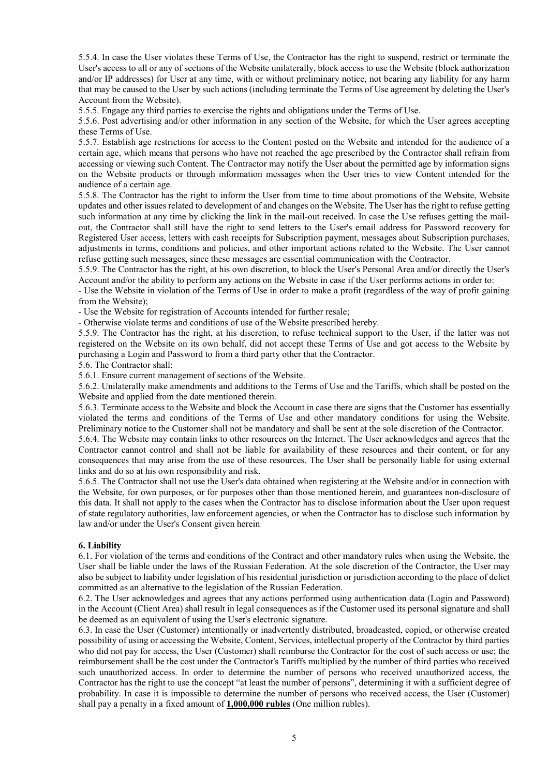5.5.4. In case the User violates these Terms of Use, the Contractor has the right to suspend, restrict or terminate the User's access to all or any of sections of the Website unilaterally, block access to use the Website (block authorization and/or IP addresses) for User at any time, with or without preliminary notice, not bearing any liability for any harm that may be caused to the User by such actions (including terminate the Terms of Use agreement by deleting the User's Account from the Website).

5.5.5. Engage any third parties to exercise the rights and obligations under the Terms of Use.

5.5.6. Post advertising and/or other information in any section of the Website, for which the User agrees accepting these Terms of Use.

5.5.7. Establish age restrictions for access to the Content posted on the Website and intended for the audience of a certain age, which means that persons who have not reached the age prescribed by the Contractor shall refrain from accessing or viewing such Content. The Contractor may notify the User about the permitted age by information signs on the Website products or through information messages when the User tries to view Content intended for the audience of a certain age.

5.5.8. The Contractor has the right to inform the User from time to time about promotions of the Website, Website updates and other issues related to development of and changes on the Website. The User has the right to refuse getting such information at any time by clicking the link in the mail-out received. In case the Use refuses getting the mailout, the Contractor shall still have the right to send letters to the User's email address for Password recovery for Registered User access, letters with cash receipts for Subscription payment, messages about Subscription purchases, adjustments in terms, conditions and policies, and other important actions related to the Website. The User cannot refuse getting such messages, since these messages are essential communication with the Contractor.

5.5.9. The Contractor has the right, at his own discretion, to block the User's Personal Area and/or directly the User's Account and/or the ability to perform any actions on the Website in case if the User performs actions in order to:

- Use the Website in violation of the Terms of Use in order to make a profit (regardless of the way of profit gaining from the Website);

- Use the Website for registration of Accounts intended for further resale;

- Otherwise violate terms and conditions of use of the Website prescribed hereby.

5.5.9. The Contractor has the right, at his discretion, to refuse technical support to the User, if the latter was not registered on the Website on its own behalf, did not accept these Terms of Use and got access to the Website by purchasing a Login and Password to from a third party other that the Contractor.

5.6. The Contractor shall:

5.6.1. Ensure current management of sections of the Website.

5.6.2. Unilaterally make amendments and additions to the Terms of Use and the Tariffs, which shall be posted on the Website and applied from the date mentioned therein.

5.6.3. Terminate access to the Website and block the Account in case there are signs that the Customer has essentially violated the terms and conditions of the Terms of Use and other mandatory conditions for using the Website. Preliminary notice to the Customer shall not be mandatory and shall be sent at the sole discretion of the Contractor.

5.6.4. The Website may contain links to other resources on the Internet. The User acknowledges and agrees that the Contractor cannot control and shall not be liable for availability of these resources and their content, or for any consequences that may arise from the use of these resources. The User shall be personally liable for using external links and do so at his own responsibility and risk.

5.6.5. The Contractor shall not use the User's data obtained when registering at the Website and/or in connection with the Website, for own purposes, or for purposes other than those mentioned herein, and guarantees non-disclosure of this data. It shall not apply to the cases when the Contractor has to disclose information about the User upon request of state regulatory authorities, law enforcement agencies, or when the Contractor has to disclose such information by law and/or under the User's Consent given herein

#### **6. Liability**

6.1. For violation of the terms and conditions of the Contract and other mandatory rules when using the Website, the User shall be liable under the laws of the Russian Federation. At the sole discretion of the Contractor, the User may also be subject to liability under legislation of his residential jurisdiction or jurisdiction according to the place of delict committed as an alternative to the legislation of the Russian Federation.

6.2. The User acknowledges and agrees that any actions performed using authentication data (Login and Password) in the Account (Client Area) shall result in legal consequences as if the Customer used its personal signature and shall be deemed as an equivalent of using the User's electronic signature.

6.3. In case the User (Customer) intentionally or inadvertently distributed, broadcasted, copied, or otherwise created possibility of using or accessing the Website, Content, Services, intellectual property of the Contractor by third parties who did not pay for access, the User (Customer) shall reimburse the Contractor for the cost of such access or use; the reimbursement shall be the cost under the Contractor's Tariffs multiplied by the number of third parties who received such unauthorized access. In order to determine the number of persons who received unauthorized access, the Contractor has the right to use the concept "at least the number of persons", determining it with a sufficient degree of probability. In case it is impossible to determine the number of persons who received access, the User (Customer) shall pay a penalty in a fixed amount of **1,000,000 rubles** (One million rubles).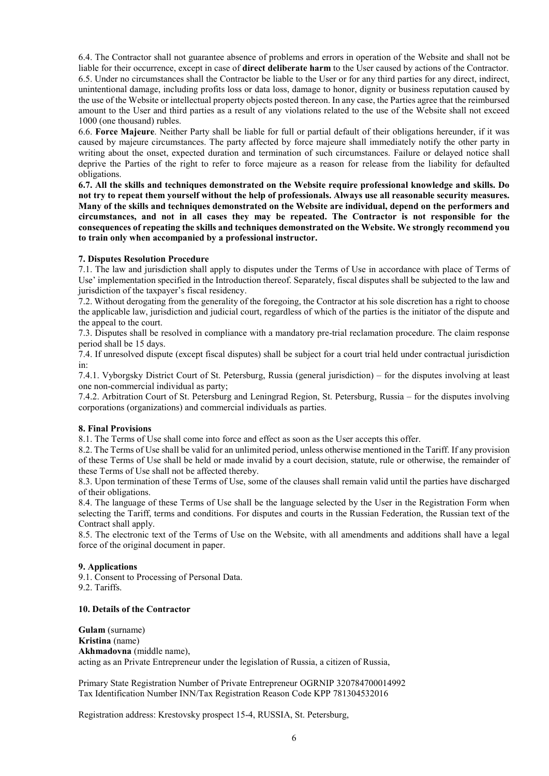6.4. The Contractor shall not guarantee absence of problems and errors in operation of the Website and shall not be liable for their occurrence, except in case of **direct deliberate harm** to the User caused by actions of the Contractor. 6.5. Under no circumstances shall the Contractor be liable to the User or for any third parties for any direct, indirect, unintentional damage, including profits loss or data loss, damage to honor, dignity or business reputation caused by the use of the Website or intellectual property objects posted thereon. In any case, the Parties agree that the reimbursed amount to the User and third parties as a result of any violations related to the use of the Website shall not exceed 1000 (one thousand) rubles.

6.6. **Force Majeure**. Neither Party shall be liable for full or partial default of their obligations hereunder, if it was caused by majeure circumstances. The party affected by force majeure shall immediately notify the other party in writing about the onset, expected duration and termination of such circumstances. Failure or delayed notice shall deprive the Parties of the right to refer to force majeure as a reason for release from the liability for defaulted obligations.

**6.7. All the skills and techniques demonstrated on the Website require professional knowledge and skills. Do not try to repeat them yourself without the help of professionals. Always use all reasonable security measures. Many of the skills and techniques demonstrated on the Website are individual, depend on the performers and circumstances, and not in all cases they may be repeated. The Contractor is not responsible for the consequences of repeating the skills and techniques demonstrated on the Website. We strongly recommend you to train only when accompanied by a professional instructor.**

### **7. Disputes Resolution Procedure**

7.1. The law and jurisdiction shall apply to disputes under the Terms of Use in accordance with place of Terms of Use' implementation specified in the Introduction thereof. Separately, fiscal disputes shall be subjected to the law and jurisdiction of the taxpayer's fiscal residency.

7.2. Without derogating from the generality of the foregoing, the Contractor at his sole discretion has a right to choose the applicable law, jurisdiction and judicial court, regardless of which of the parties is the initiator of the dispute and the appeal to the court.

7.3. Disputes shall be resolved in compliance with a mandatory pre-trial reclamation procedure. The claim response period shall be 15 days.

7.4. If unresolved dispute (except fiscal disputes) shall be subject for a court trial held under contractual jurisdiction in:

7.4.1. Vyborgsky District Court of St. Petersburg, Russia (general jurisdiction) – for the disputes involving at least one non-commercial individual as party;

7.4.2. Arbitration Court of St. Petersburg and Leningrad Region, St. Petersburg, Russia – for the disputes involving corporations (organizations) and commercial individuals as parties.

### **8. Final Provisions**

8.1. The Terms of Use shall come into force and effect as soon as the User accepts this offer.

8.2. The Terms of Use shall be valid for an unlimited period, unless otherwise mentioned in the Tariff. If any provision of these Terms of Use shall be held or made invalid by a court decision, statute, rule or otherwise, the remainder of these Terms of Use shall not be affected thereby.

8.3. Upon termination of these Terms of Use, some of the clauses shall remain valid until the parties have discharged of their obligations.

8.4. The language of these Terms of Use shall be the language selected by the User in the Registration Form when selecting the Tariff, terms and conditions. For disputes and courts in the Russian Federation, the Russian text of the Contract shall apply.

8.5. The electronic text of the Terms of Use on the Website, with all amendments and additions shall have a legal force of the original document in paper.

### **9. Applications**

9.1. Consent to Processing of Personal Data. 9.2. Tariffs.

#### **10. Details of the Contractor**

**Gulam** (surname) **Kristina** (name) **Akhmadovna** (middle name), acting as an Private Entrepreneur under the legislation of Russia, a citizen of Russia,

Primary State Registration Number of Private Entrepreneur OGRNIP 320784700014992 Tax Identification Number INN/Tax Registration Reason Code KPP 781304532016

Registration address: Krestovsky prospect 15-4, RUSSIA, St. Petersburg,